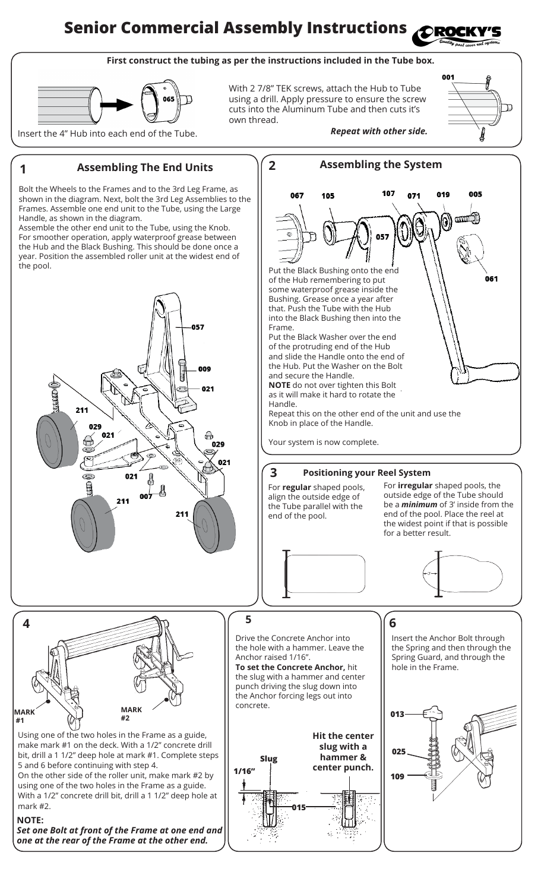#### **Senior Commercial Assembly Instructions** ORO

### **First construct the tubing as per the instructions included in the Tube box.**



With 2 7/8" TEK screws, attach the Hub to Tube using a drill. Apply pressure to ensure the screw cuts into the Aluminum Tube and then cuts it's own thread.



the pool.



*Set one Bolt at front of the Frame at one end and one at the rear of the Frame at the other end.*

mark #2.

**NOTE:**

**MARK #1**

**4**